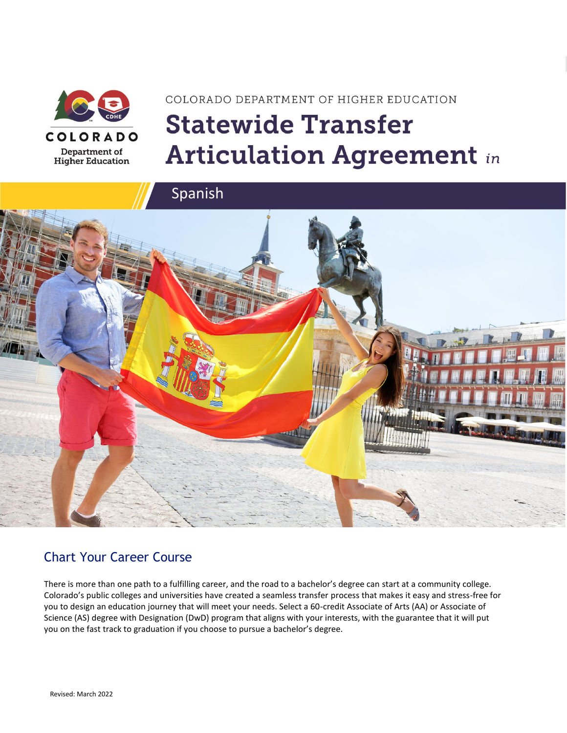

# COLORADO DEPARTMENT OF HIGHER EDUCATION **Statewide Transfer Articulation Agreement in**





## Chart Your Career Course

There is more than one path to a fulfilling career, and the road to a bachelor's degree can start at a community college. Colorado's public colleges and universities have created a seamless transfer process that makes it easy and stress-free for you to design an education journey that will meet your needs. Select a 60-credit Associate of Arts (AA) or Associate of Science (AS) degree with Designation (DwD) program that aligns with your interests, with the guarantee that it will put you on the fast track to graduation if you choose to pursue a bachelor's degree.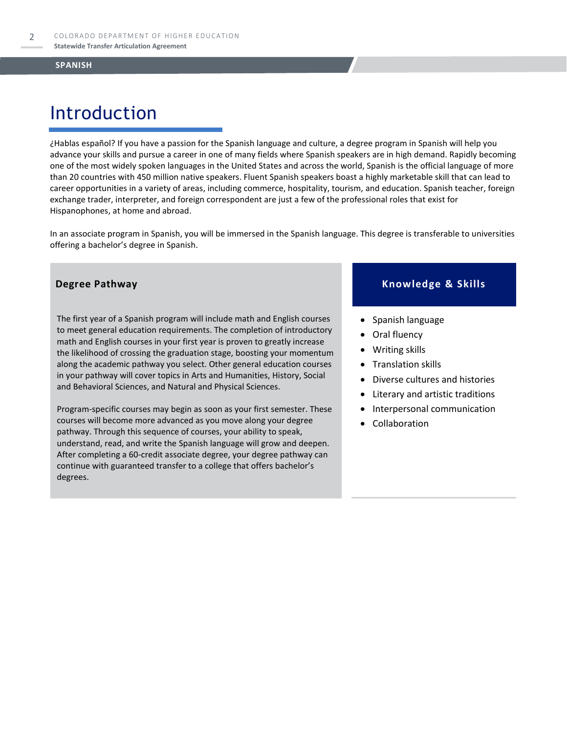# Introduction

¿Hablas español? If you have a passion for the Spanish language and culture, a degree program in Spanish will help you advance your skills and pursue a career in one of many fields where Spanish speakers are in high demand. Rapidly becoming one of the most widely spoken languages in the United States and across the world, Spanish is the official language of more than 20 countries with 450 million native speakers. Fluent Spanish speakers boast a highly marketable skill that can lead to career opportunities in a variety of areas, including commerce, hospitality, tourism, and education. Spanish teacher, foreign exchange trader, interpreter, and foreign correspondent are just a few of the professional roles that exist for Hispanophones, at home and abroad.

In an associate program in Spanish, you will be immersed in the Spanish language. This degree is transferable to universities offering a bachelor's degree in Spanish.

The first year of a Spanish program will include math and English courses to meet general education requirements. The completion of introductory math and English courses in your first year is proven to greatly increase the likelihood of crossing the graduation stage, boosting your momentum along the academic pathway you select. Other general education courses in your pathway will cover topics in Arts and Humanities, History, Social and Behavioral Sciences, and Natural and Physical Sciences.

Program-specific courses may begin as soon as your first semester. These courses will become more advanced as you move along your degree pathway. Through this sequence of courses, your ability to speak, understand, read, and write the Spanish language will grow and deepen. After completing a 60-credit associate degree, your degree pathway can continue with guaranteed transfer to a college that offers bachelor's degrees.

### **Degree Pathway**  Knowledge & Skills

- Spanish language
- Oral fluency
- Writing skills
- Translation skills
- Diverse cultures and histories
- Literary and artistic traditions
- Interpersonal communication
- **Collaboration**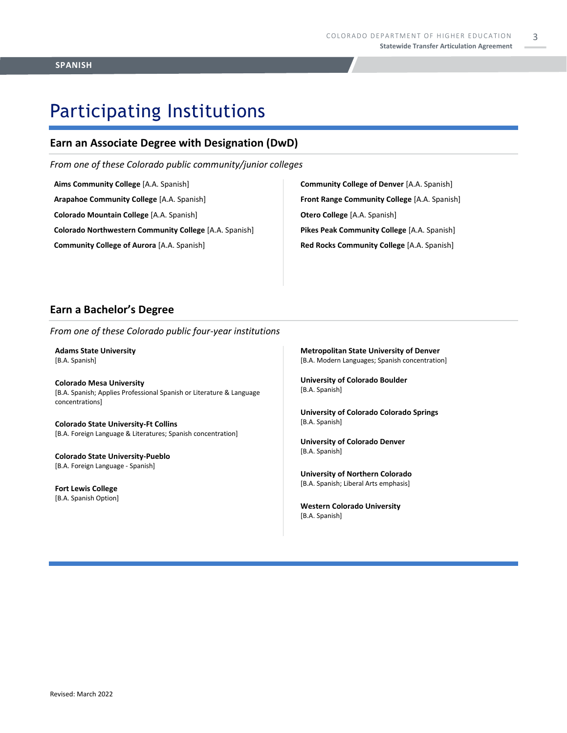# Participating Institutions

### **Earn an Associate Degree with Designation (DwD)**

*From one of these Colorado public community/junior colleges*

**Aims Community College** [A.A. Spanish] **Arapahoe Community College** [A.A. Spanish] **Colorado Mountain College** [A.A. Spanish] **Colorado Northwestern Community College** [A.A. Spanish] **Community College of Aurora** [A.A. Spanish]

**Community College of Denver** [A.A. Spanish] **Front Range Community College** [A.A. Spanish] **Otero College** [A.A. Spanish] **Pikes Peak Community College** [A.A. Spanish] **Red Rocks Community College** [A.A. Spanish]

### **Earn a Bachelor's Degree**

*From one of these Colorado public four-year institutions*

**Adams State University**  [B.A. Spanish]

**Colorado Mesa University**  [B.A. Spanish; Applies Professional Spanish or Literature & Language concentrations]

**Colorado State University-Ft Collins**  [B.A. Foreign Language & Literatures; Spanish concentration]

**Colorado State University-Pueblo**  [B.A. Foreign Language - Spanish]

**Fort Lewis College**  [B.A. Spanish Option] **Metropolitan State University of Denver**  [B.A. Modern Languages; Spanish concentration]

**University of Colorado Boulder**  [B.A. Spanish]

**University of Colorado Colorado Springs** [B.A. Spanish]

**University of Colorado Denver** [B.A. Spanish]

**University of Northern Colorado** [B.A. Spanish; Liberal Arts emphasis]

**Western Colorado University** [B.A. Spanish]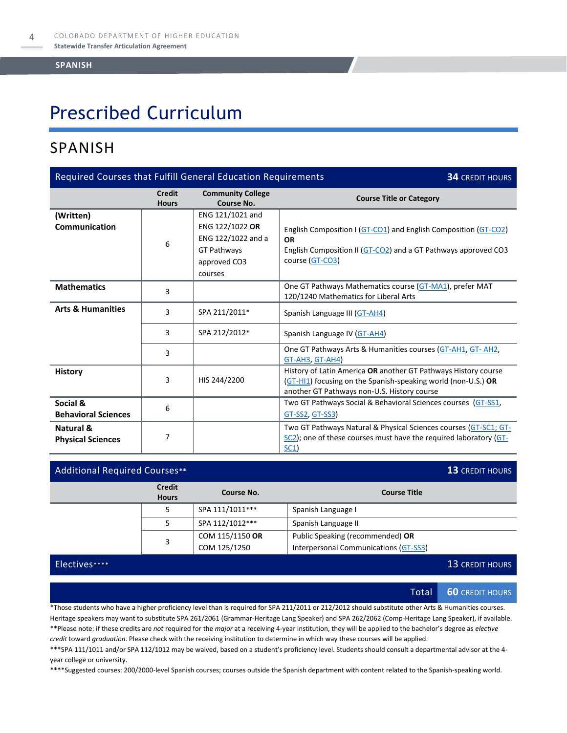# Prescribed Curriculum

## SPANISH

| Required Courses that Fulfill General Education Requirements<br><b>34 CREDIT HOURS</b> |                               |                                                                                                     |                                                                                                                                                                                |  |
|----------------------------------------------------------------------------------------|-------------------------------|-----------------------------------------------------------------------------------------------------|--------------------------------------------------------------------------------------------------------------------------------------------------------------------------------|--|
|                                                                                        | <b>Credit</b><br><b>Hours</b> | <b>Community College</b><br>Course No.                                                              | <b>Course Title or Category</b>                                                                                                                                                |  |
| (Written)<br><b>Communication</b>                                                      | 6                             | ENG 121/1021 and<br>ENG 122/1022 OR<br>ENG 122/1022 and a<br>GT Pathways<br>approved CO3<br>courses | English Composition I (GT-CO1) and English Composition (GT-CO2)<br><b>OR</b><br>English Composition II (GT-CO2) and a GT Pathways approved CO3<br>course (GT-CO3)              |  |
| <b>Mathematics</b>                                                                     | 3                             |                                                                                                     | One GT Pathways Mathematics course (GT-MA1), prefer MAT<br>120/1240 Mathematics for Liberal Arts                                                                               |  |
| <b>Arts &amp; Humanities</b>                                                           | 3                             | SPA 211/2011*                                                                                       | Spanish Language III (GT-AH4)                                                                                                                                                  |  |
|                                                                                        | 3                             | SPA 212/2012*                                                                                       | Spanish Language IV (GT-AH4)                                                                                                                                                   |  |
|                                                                                        | 3                             |                                                                                                     | One GT Pathways Arts & Humanities courses (GT-AH1, GT-AH2,<br>GT-AH3, GT-AH4)                                                                                                  |  |
| <b>History</b>                                                                         | 3                             | HIS 244/2200                                                                                        | History of Latin America OR another GT Pathways History course<br>(GT-HI1) focusing on the Spanish-speaking world (non-U.S.) OR<br>another GT Pathways non-U.S. History course |  |
| Social &<br><b>Behavioral Sciences</b>                                                 | 6                             |                                                                                                     | Two GT Pathways Social & Behavioral Sciences courses (GT-SS1,<br>GT-SS2, GT-SS3)                                                                                               |  |
| <b>Natural &amp;</b><br><b>Physical Sciences</b>                                       | 7                             |                                                                                                     | Two GT Pathways Natural & Physical Sciences courses (GT-SC1; GT-<br>$SC2$ ); one of these courses must have the required laboratory ( $GT$ -<br>SC1                            |  |

| <b>Additional Required Courses**</b> |                               |                 | 13 CREDIT HOURS                       |
|--------------------------------------|-------------------------------|-----------------|---------------------------------------|
|                                      | <b>Credit</b><br><b>Hours</b> | Course No.      | <b>Course Title</b>                   |
|                                      | 5                             | SPA 111/1011*** | Spanish Language I                    |
|                                      |                               | SPA 112/1012*** | Spanish Language II                   |
|                                      | 3                             | COM 115/1150 OR | Public Speaking (recommended) OR      |
|                                      |                               | COM 125/1250    | Interpersonal Communications (GT-SS3) |

### Electives\*\*\*\* 13 CREDIT HOURS

Total **60** CREDIT HOURS

\*Those students who have a higher proficiency level than is required for SPA 211/2011 or 212/2012 should substitute other Arts & Humanities courses. Heritage speakers may want to substitute SPA 261/2061 (Grammar-Heritage Lang Speaker) and SPA 262/2062 (Comp-Heritage Lang Speaker), if available. \*\*Please note: if these credits are *not* required for the *major* at a receiving 4-year institution, they will be applied to the bachelor's degree as *elective credit* toward *graduation*. Please check with the receiving institution to determine in which way these courses will be applied.

\*\*\*SPA 111/1011 and/or SPA 112/1012 may be waived, based on a student's proficiency level. Students should consult a departmental advisor at the 4 year college or university.

\*\*\*\*Suggested courses: 200/2000-level Spanish courses; courses outside the Spanish department with content related to the Spanish-speaking world.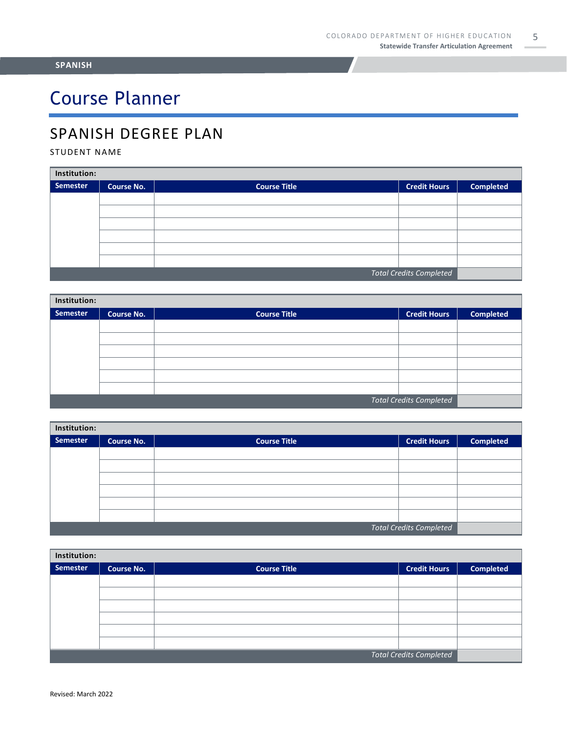# Course Planner

## SPANISH DEGREE PLAN

### STUDENT NAME

| Institution:                   |                   |                     |                     |                  |  |
|--------------------------------|-------------------|---------------------|---------------------|------------------|--|
| Semester                       | <b>Course No.</b> | <b>Course Title</b> | <b>Credit Hours</b> | <b>Completed</b> |  |
|                                |                   |                     |                     |                  |  |
|                                |                   |                     |                     |                  |  |
|                                |                   |                     |                     |                  |  |
|                                |                   |                     |                     |                  |  |
|                                |                   |                     |                     |                  |  |
|                                |                   |                     |                     |                  |  |
| <b>Total Credits Completed</b> |                   |                     |                     |                  |  |

| Institution:                   |                   |                     |                     |                  |  |
|--------------------------------|-------------------|---------------------|---------------------|------------------|--|
| Semester                       | <b>Course No.</b> | <b>Course Title</b> | <b>Credit Hours</b> | <b>Completed</b> |  |
|                                |                   |                     |                     |                  |  |
|                                |                   |                     |                     |                  |  |
|                                |                   |                     |                     |                  |  |
|                                |                   |                     |                     |                  |  |
|                                |                   |                     |                     |                  |  |
|                                |                   |                     |                     |                  |  |
| <b>Total Credits Completed</b> |                   |                     |                     |                  |  |

| Institution:                   |                   |                     |                     |                  |  |
|--------------------------------|-------------------|---------------------|---------------------|------------------|--|
| Semester                       | <b>Course No.</b> | <b>Course Title</b> | <b>Credit Hours</b> | <b>Completed</b> |  |
|                                |                   |                     |                     |                  |  |
|                                |                   |                     |                     |                  |  |
|                                |                   |                     |                     |                  |  |
|                                |                   |                     |                     |                  |  |
|                                |                   |                     |                     |                  |  |
|                                |                   |                     |                     |                  |  |
| <b>Total Credits Completed</b> |                   |                     |                     |                  |  |

| Institution:                   |                   |                     |                     |                  |  |
|--------------------------------|-------------------|---------------------|---------------------|------------------|--|
| Semester                       | <b>Course No.</b> | <b>Course Title</b> | <b>Credit Hours</b> | <b>Completed</b> |  |
|                                |                   |                     |                     |                  |  |
|                                |                   |                     |                     |                  |  |
|                                |                   |                     |                     |                  |  |
|                                |                   |                     |                     |                  |  |
|                                |                   |                     |                     |                  |  |
|                                |                   |                     |                     |                  |  |
| <b>Total Credits Completed</b> |                   |                     |                     |                  |  |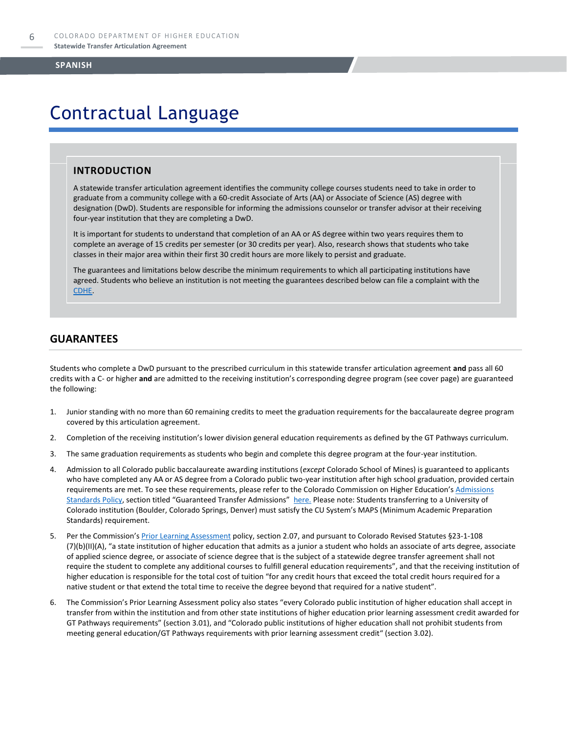# Contractual Language

### **INTRODUCTION**

A statewide transfer articulation agreement identifies the community college courses students need to take in order to graduate from a community college with a 60-credit Associate of Arts (AA) or Associate of Science (AS) degree with designation (DwD). Students are responsible for informing the admissions counselor or transfer advisor at their receiving four-year institution that they are completing a DwD.

It is important for students to understand that completion of an AA or AS degree within two years requires them to complete an average of 15 credits per semester (or 30 credits per year). Also, research shows that students who take classes in their major area within their first 30 credit hours are more likely to persist and graduate.

The guarantees and limitations below describe the minimum requirements to which all participating institutions have agreed. Students who believe an institution is not meeting the guarantees described below can file a complaint with the [CDHE.](https://highered.colorado.gov/filing-student-complaint) 

### **GUARANTEES**

Students who complete a DwD pursuant to the prescribed curriculum in this statewide transfer articulation agreement **and** pass all 60 credits with a C- or higher **and** are admitted to the receiving institution's corresponding degree program (see cover page) are guaranteed the following:

- 1. Junior standing with no more than 60 remaining credits to meet the graduation requirements for the baccalaureate degree program covered by this articulation agreement.
- 2. Completion of the receiving institution's lower division general education requirements as defined by the GT Pathways curriculum.
- 3. The same graduation requirements as students who begin and complete this degree program at the four-year institution.
- 4. Admission to all Colorado public baccalaureate awarding institutions (*except* Colorado School of Mines) is guaranteed to applicants who have completed any AA or AS degree from a Colorado public two-year institution after high school graduation, provided certain requirements are met. To see these requirements, please refer to the Colorado Commission on Higher Education's Admissions [Standards Policy](https://highered.colorado.gov/sites/highered/files/2020-03/i-partf_0.pdf), section titled "Guaranteed Transfer Admissions" [here.](https://highered.colorado.gov/educators/policy-funding/cche-policies-procedures) Please note: Students transferring to a University of Colorado institution (Boulder, Colorado Springs, Denver) must satisfy the CU System's MAPS (Minimum Academic Preparation Standards) requirement.
- 5. Per the Commission's **[Prior Learning Assessment](https://highered.colorado.gov/sites/highered/files/2020-03/i-partx.pdf)** policy, section 2.07, and pursuant to Colorado Revised Statutes §23-1-108 (7)(b)(II)(A), "a state institution of higher education that admits as a junior a student who holds an associate of arts degree, associate of applied science degree, or associate of science degree that is the subject of a statewide degree transfer agreement shall not require the student to complete any additional courses to fulfill general education requirements", and that the receiving institution of higher education is responsible for the total cost of tuition "for any credit hours that exceed the total credit hours required for a native student or that extend the total time to receive the degree beyond that required for a native student".
- 6. The Commission's Prior Learning Assessment policy also states "every Colorado public institution of higher education shall accept in transfer from within the institution and from other state institutions of higher education prior learning assessment credit awarded for GT Pathways requirements" (section 3.01), and "Colorado public institutions of higher education shall not prohibit students from meeting general education/GT Pathways requirements with prior learning assessment credit" (section 3.02).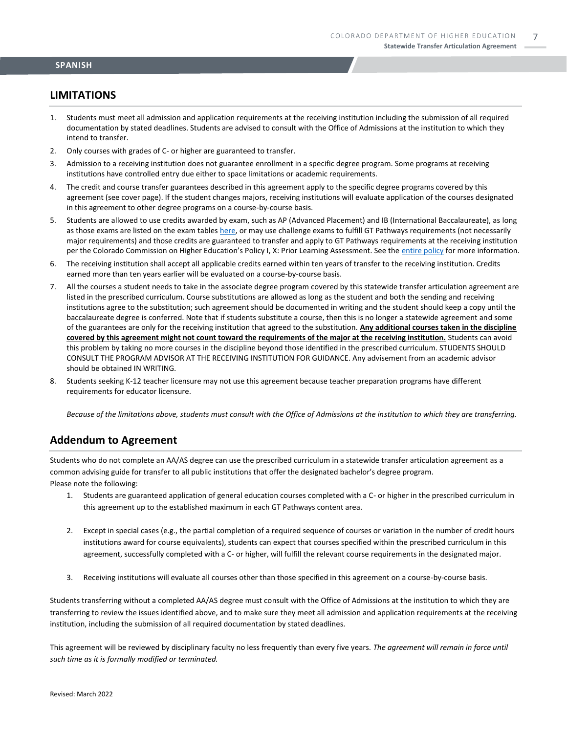### **LIMITATIONS**

- 1. Students must meet all admission and application requirements at the receiving institution including the submission of all required documentation by stated deadlines. Students are advised to consult with the Office of Admissions at the institution to which they intend to transfer.
- 2. Only courses with grades of C- or higher are guaranteed to transfer.
- 3. Admission to a receiving institution does not guarantee enrollment in a specific degree program. Some programs at receiving institutions have controlled entry due either to space limitations or academic requirements.
- 4. The credit and course transfer guarantees described in this agreement apply to the specific degree programs covered by this agreement (see cover page). If the student changes majors, receiving institutions will evaluate application of the courses designated in this agreement to other degree programs on a course-by-course basis.
- 5. Students are allowed to use credits awarded by exam, such as AP (Advanced Placement) and IB (International Baccalaureate), as long as those exams are listed on the exam table[s here,](https://highered.colorado.gov/get-credit-for-what-you-already-know) or may use challenge exams to fulfill GT Pathways requirements (not necessarily major requirements) and those credits are guaranteed to transfer and apply to GT Pathways requirements at the receiving institution per the Colorado Commission on Higher Education's Policy I, X: Prior Learning Assessment. See the [entire policy](https://highered.colorado.gov/sites/highered/files/2020-03/i-partx.pdf) for more information.
- 6. The receiving institution shall accept all applicable credits earned within ten years of transfer to the receiving institution. Credits earned more than ten years earlier will be evaluated on a course-by-course basis.
- 7. All the courses a student needs to take in the associate degree program covered by this statewide transfer articulation agreement are listed in the prescribed curriculum. Course substitutions are allowed as long as the student and both the sending and receiving institutions agree to the substitution; such agreement should be documented in writing and the student should keep a copy until the baccalaureate degree is conferred. Note that if students substitute a course, then this is no longer a statewide agreement and some of the guarantees are only for the receiving institution that agreed to the substitution. **Any additional courses taken in the discipline covered by this agreement might not count toward the requirements of the major at the receiving institution.** Students can avoid this problem by taking no more courses in the discipline beyond those identified in the prescribed curriculum. STUDENTS SHOULD CONSULT THE PROGRAM ADVISOR AT THE RECEIVING INSTITUTION FOR GUIDANCE. Any advisement from an academic advisor should be obtained IN WRITING.
- 8. Students seeking K-12 teacher licensure may not use this agreement because teacher preparation programs have different requirements for educator licensure.

*Because of the limitations above, students must consult with the Office of Admissions at the institution to which they are transferring.*

### **Addendum to Agreement**

Students who do not complete an AA/AS degree can use the prescribed curriculum in a statewide transfer articulation agreement as a common advising guide for transfer to all public institutions that offer the designated bachelor's degree program. Please note the following:

- 1. Students are guaranteed application of general education courses completed with a C- or higher in the prescribed curriculum in this agreement up to the established maximum in each GT Pathways content area.
- 2. Except in special cases (e.g., the partial completion of a required sequence of courses or variation in the number of credit hours institutions award for course equivalents), students can expect that courses specified within the prescribed curriculum in this agreement, successfully completed with a C- or higher, will fulfill the relevant course requirements in the designated major.
- 3. Receiving institutions will evaluate all courses other than those specified in this agreement on a course-by-course basis.

Students transferring without a completed AA/AS degree must consult with the Office of Admissions at the institution to which they are transferring to review the issues identified above, and to make sure they meet all admission and application requirements at the receiving institution, including the submission of all required documentation by stated deadlines.

This agreement will be reviewed by disciplinary faculty no less frequently than every five years. *The agreement will remain in force until such time as it is formally modified or terminated.*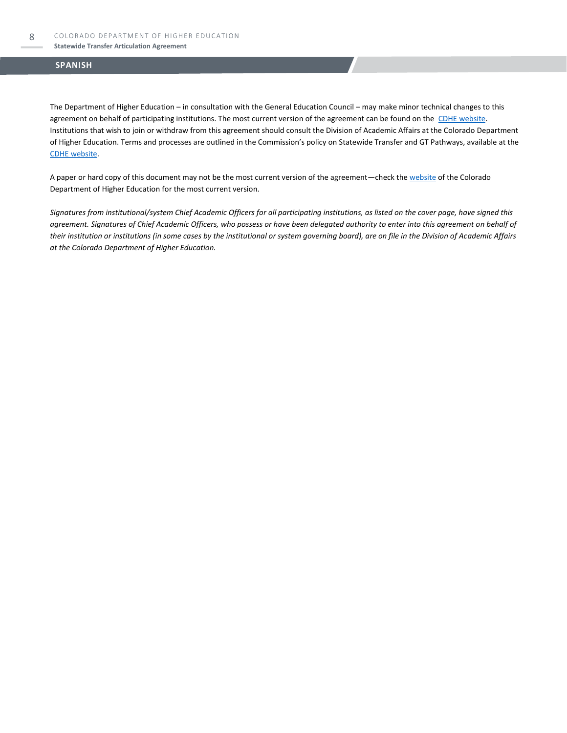The Department of Higher Education – in consultation with the General Education Council – may make minor technical changes to this agreement on behalf of participating institutions. The most current version of the agreement can be found on the [CDHE website.](https://highered.colorado.gov/transfer-degrees) Institutions that wish to join or withdraw from this agreement should consult the Division of Academic Affairs at the Colorado Department of Higher Education. Terms and processes are outlined in the Commission's policy on Statewide Transfer and GT Pathways, available at the [CDHE website.](https://highered.colorado.gov/educators/policy-funding/general-education-ge-council/gtpathways/transfer-agreements)

A paper or hard copy of this document may not be the most current version of the agreement—check th[e website](https://highered.colorado.gov/transfer-degrees) of the Colorado Department of Higher Education for the most current version.

*Signatures from institutional/system Chief Academic Officers for all participating institutions, as listed on the cover page, have signed this agreement. Signatures of Chief Academic Officers, who possess or have been delegated authority to enter into this agreement on behalf of their institution or institutions (in some cases by the institutional or system governing board), are on file in the Division of Academic Affairs at the Colorado Department of Higher Education.*